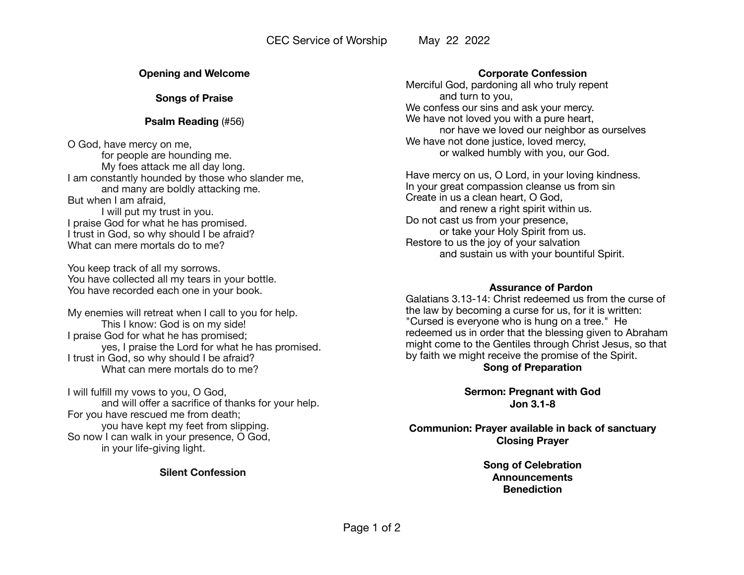### **Opening and Welcome**

**Songs of Praise** 

### **Psalm Reading** (#56)

O God, have mercy on me, for people are hounding me. My foes attack me all day long. I am constantly hounded by those who slander me, and many are boldly attacking me. But when I am afraid, I will put my trust in you. I praise God for what he has promised. I trust in God, so why should I be afraid? What can mere mortals do to me?

You keep track of all my sorrows. You have collected all my tears in your bottle. You have recorded each one in your book.

My enemies will retreat when I call to you for help. This I know: God is on my side! I praise God for what he has promised; yes, I praise the Lord for what he has promised. I trust in God, so why should I be afraid? What can mere mortals do to me?

I will fulfill my vows to you, O God, and will offer a sacrifice of thanks for your help. For you have rescued me from death; you have kept my feet from slipping. So now I can walk in your presence, O God, in your life-giving light.

**Silent Confession** 

### **Corporate Confession**

Merciful God, pardoning all who truly repent and turn to you, We confess our sins and ask your mercy. We have not loved you with a pure heart, nor have we loved our neighbor as ourselves We have not done justice, loved mercy, or walked humbly with you, our God.

Have mercy on us, O Lord, in your loving kindness. In your great compassion cleanse us from sin Create in us a clean heart, O God, and renew a right spirit within us. Do not cast us from your presence, or take your Holy Spirit from us. Restore to us the joy of your salvation and sustain us with your bountiful Spirit.

#### **Assurance of Pardon**

Galatians 3.13-14: Christ redeemed us from the curse of the law by becoming a curse for us, for it is written: "Cursed is everyone who is hung on a tree." He redeemed us in order that the blessing given to Abraham might come to the Gentiles through Christ Jesus, so that by faith we might receive the promise of the Spirit. **Song of Preparation** 

> **Sermon: Pregnant with God Jon 3.1-8**

**Communion: Prayer available in back of sanctuary Closing Prayer** 

> **Song of Celebration Announcements Benediction**